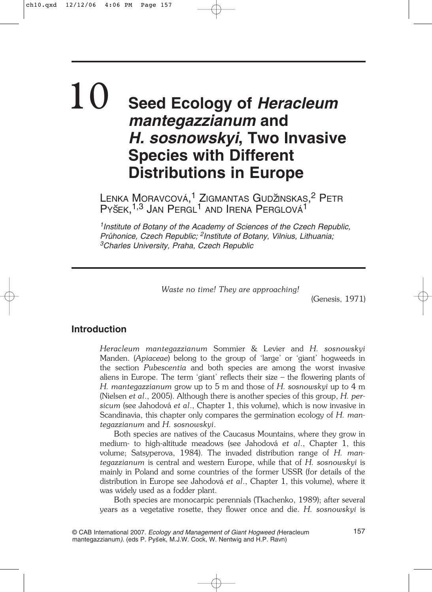# **Seed Ecology of** *Heracleum mantegazzianum* **and** *H. sosnowskyi***, Two Invasive Species with Different Distributions in Europe** 10

LENKA MORAVCOVÁ,<sup>1</sup> ZIGMANTAS GUDŽINSKAS,<sup>2</sup> PETR PYŠEK, <sup>1,3</sup> JAN PERGL<sup>1</sup> AND IRENA PERGLOVÁ<sup>1</sup>

*1Institute of Botany of the Academy of Sciences of the Czech Republic, Pru˚honice, Czech Republic; 2Institute of Botany, Vilnius, Lithuania; 3Charles University, Praha, Czech Republic*

*Waste no time! They are approaching!*

(Genesis, 1971)

# **Introduction**

*Heracleum mantegazzianum* Sommier & Levier and *H. sosnowskyi* Manden. (*Apiaceae*) belong to the group of 'large' or 'giant' hogweeds in the section *Pubescentia* and both species are among the worst invasive aliens in Europe. The term 'giant' reflects their size – the flowering plants of *H. mantegazzianum* grow up to 5 m and those of *H. sosnowskyi* up to 4 m (Nielsen *et al*., 2005). Although there is another species of this group, *H. persicum* (see Jahodová *et al*., Chapter 1, this volume), which is now invasive in Scandinavia, this chapter only compares the germination ecology of *H. mantegazzianum* and *H. sosnowskyi*.

Both species are natives of the Caucasus Mountains, where they grow in medium- to high-altitude meadows (see Jahodová *et al*., Chapter 1, this volume; Satsyperova, 1984). The invaded distribution range of *H. mantegazzianum* is central and western Europe, while that of *H. sosnowskyi* is mainly in Poland and some countries of the former USSR (for details of the distribution in Europe see Jahodová *et al*., Chapter 1, this volume), where it was widely used as a fodder plant.

Both species are monocarpic perennials (Tkachenko, 1989); after several years as a vegetative rosette, they flower once and die. *H. sosnowskyi* is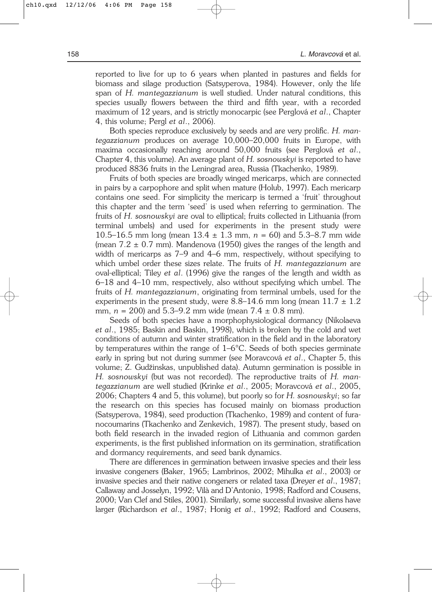reported to live for up to 6 years when planted in pastures and fields for biomass and silage production (Satsyperova, 1984). However, only the life span of *H. mantegazzianum* is well studied. Under natural conditions, this species usually flowers between the third and fifth year, with a recorded maximum of 12 years, and is strictly monocarpic (see Perglová *et al*., Chapter 4, this volume; Pergl *et al*., 2006).

Both species reproduce exclusively by seeds and are very prolific. *H. mantegazzianum* produces on average 10,000–20,000 fruits in Europe, with maxima occasionally reaching around 50,000 fruits (see Perglová *et al*., Chapter 4, this volume). An average plant of *H. sosnowskyi* is reported to have produced 8836 fruits in the Leningrad area, Russia (Tkachenko, 1989).

Fruits of both species are broadly winged mericarps, which are connected in pairs by a carpophore and split when mature (Holub, 1997). Each mericarp contains one seed. For simplicity the mericarp is termed a 'fruit' throughout this chapter and the term 'seed' is used when referring to germination. The fruits of *H. sosnowskyi* are oval to elliptical; fruits collected in Lithuania (from terminal umbels) and used for experiments in the present study were 10.5–16.5 mm long (mean 13.4 ± 1.3 mm, *n* = 60) and 5.3–8.7 mm wide (mean  $7.2 \pm 0.7$  mm). Mandenova (1950) gives the ranges of the length and width of mericarps as 7–9 and 4–6 mm, respectively, without specifying to which umbel order these sizes relate. The fruits of *H. mantegazzianum* are oval-elliptical; Tiley *et al*. (1996) give the ranges of the length and width as 6–18 and 4–10 mm, respectively, also without specifying which umbel. The fruits of *H. mantegazzianum*, originating from terminal umbels, used for the experiments in the present study, were  $8.8-14.6$  mm long (mean  $11.7 \pm 1.2$ ) mm,  $n = 200$  and  $5.3-9.2$  mm wide (mean  $7.4 \pm 0.8$  mm).

Seeds of both species have a morphophysiological dormancy (Nikolaeva *et al*., 1985; Baskin and Baskin, 1998), which is broken by the cold and wet conditions of autumn and winter stratification in the field and in the laboratory by temperatures within the range of 1–6°C. Seeds of both species germinate early in spring but not during summer (see Moravcová *et al*., Chapter 5, this volume; Z. Gudz˘inskas, unpublished data). Autumn germination is possible in *H. sosnowskyi* (but was not recorded). The reproductive traits of *H. mantegazzianum* are well studied (Krinke *et al*., 2005; Moravcová *et al*., 2005, 2006; Chapters 4 and 5, this volume), but poorly so for *H. sosnowskyi*; so far the research on this species has focused mainly on biomass production (Satsyperova, 1984), seed production (Tkachenko, 1989) and content of furanocoumarins (Tkachenko and Zenkevich, 1987). The present study, based on both field research in the invaded region of Lithuania and common garden experiments, is the first published information on its germination, stratification and dormancy requirements, and seed bank dynamics.

There are differences in germination between invasive species and their less invasive congeners (Baker, 1965; Lambrinos, 2002; Mihulka *et al*., 2003) or invasive species and their native congeners or related taxa (Dreyer *et al*., 1987; Callaway and Josselyn, 1992; Vilà and D'Antonio, 1998; Radford and Cousens, 2000; Van Clef and Stiles, 2001). Similarly, some successful invasive aliens have larger (Richardson *et al*., 1987; Honig *et al*., 1992; Radford and Cousens,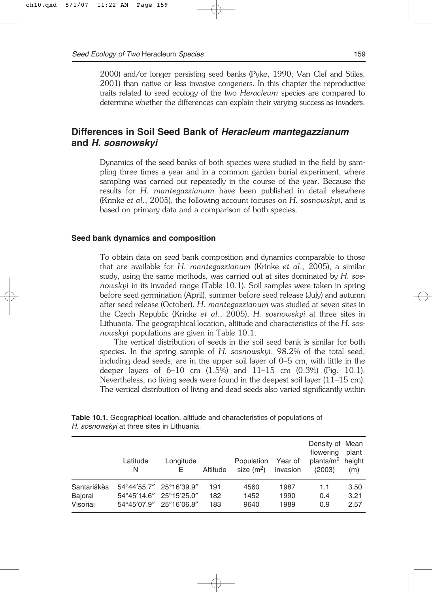2000) and/or longer persisting seed banks (Pyke, 1990; Van Clef and Stiles, 2001) than native or less invasive congeners. In this chapter the reproductive traits related to seed ecology of the two *Heracleum* species are compared to determine whether the differences can explain their varying success as invaders.

# **Differences in Soil Seed Bank of** *Heracleum mantegazzianum* **and** *H. sosnowskyi*

Dynamics of the seed banks of both species were studied in the field by sampling three times a year and in a common garden burial experiment, where sampling was carried out repeatedly in the course of the year. Because the results for *H. mantegazzianum* have been published in detail elsewhere (Krinke *et al*., 2005), the following account focuses on *H. sosnowskyi*, and is based on primary data and a comparison of both species.

#### **Seed bank dynamics and composition**

To obtain data on seed bank composition and dynamics comparable to those that are available for *H. mantegazzianum* (Krinke *et al*., 2005), a similar study, using the same methods, was carried out at sites dominated by *H. sosnowskyi* in its invaded range (Table 10.1). Soil samples were taken in spring before seed germination (April), summer before seed release (July) and autumn after seed release (October). *H. mantegazzianum* was studied at seven sites in the Czech Republic (Krinke *et al*., 2005), *H. sosnowskyi* at three sites in Lithuania. The geographical location, altitude and characteristics of the *H. sosnowskyi* populations are given in Table 10.1.

The vertical distribution of seeds in the soil seed bank is similar for both species. In the spring sample of *H. sosnowskyi*, 98.2% of the total seed, including dead seeds, are in the upper soil layer of 0–5 cm, with little in the deeper layers of  $6-10$  cm  $(1.5\%)$  and  $11-15$  cm  $(0.3\%)$  (Fig. 10.1). Nevertheless, no living seeds were found in the deepest soil layer (11–15 cm). The vertical distribution of living and dead seeds also varied significantly within

|             | Latitude<br>N           | Longitude<br>E. | Altitude | Population<br>size $(m^2)$ | Year of<br>invasion | Density of Mean<br>flowering<br>plants/m <sup>2</sup> height<br>(2003) | plant<br>(m) |
|-------------|-------------------------|-----------------|----------|----------------------------|---------------------|------------------------------------------------------------------------|--------------|
| Santariškës | 54°44'55.7" 25°16'39.9" |                 | 191      | 4560                       | 1987                | 1.1                                                                    | 3.50         |
| Bajorai     | 54°45'14.6" 25°15'25.0" |                 | 182      | 1452                       | 1990                | 0.4                                                                    | 3.21         |
| Visoriai    | 54°45'07.9" 25°16'06.8" |                 | 183      | 9640                       | 1989                | 0.9                                                                    | 2.57         |

**Table 10.1.** Geographical location, altitude and characteristics of populations of *H. sosnowskyi* at three sites in Lithuania.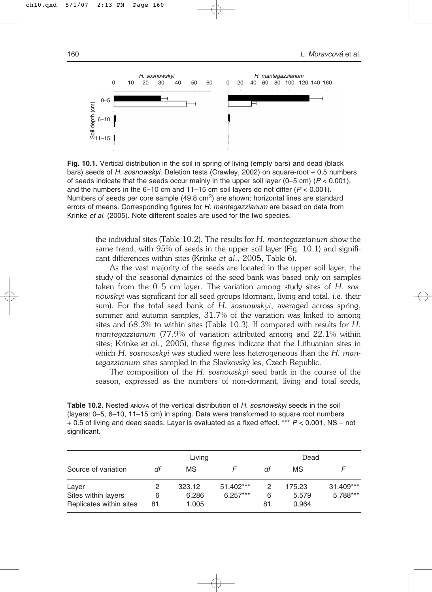

**Fig. 10.1.** Vertical distribution in the soil in spring of living (empty bars) and dead (black bars) seeds of *H. sosnowskyi*. Deletion tests (Crawley, 2002) on square-root + 0.5 numbers of seeds indicate that the seeds occur mainly in the upper soil layer  $(0-5 \text{ cm})$   $(P < 0.001)$ , and the numbers in the  $6-10$  cm and  $11-15$  cm soil layers do not differ  $(P < 0.001)$ . Numbers of seeds per core sample  $(49.8 \text{ cm}^2)$  are shown; horizontal lines are standard errors of means. Corresponding figures for *H. mantegazzianum* are based on data from Krinke *et al*. (2005). Note different scales are used for the two species.

the individual sites (Table 10.2). The results for *H. mantegazzianum* show the same trend, with 95% of seeds in the upper soil layer (Fig. 10.1) and significant differences within sites (Krinke *et al*., 2005, Table 6).

As the vast majority of the seeds are located in the upper soil layer, the study of the seasonal dynamics of the seed bank was based only on samples taken from the 0–5 cm layer. The variation among study sites of *H. sosnowskyi* was significant for all seed groups (dormant, living and total, i.e. their sum). For the total seed bank of *H. sosnowskyi*, averaged across spring, summer and autumn samples, 31.7% of the variation was linked to among sites and 68.3% to within sites (Table 10.3). If compared with results for *H. mantegazzianum* (77.9% of variation attributed among and 22.1% within sites; Krinke *et al*., 2005), these figures indicate that the Lithuanian sites in which *H. sosnowskyi* was studied were less heterogeneous than the *H. mantegazzianum* sites sampled in the Slavkovsky´ les, Czech Republic.

The composition of the *H. sosnowskyi* seed bank in the course of the season, expressed as the numbers of non-dormant, living and total seeds,

**Table 10.2.** Nested ANOVA of the vertical distribution of *H. sosnowskyi* seeds in the soil (layers: 0–5, 6–10, 11–15 cm) in spring. Data were transformed to square root numbers + 0.5 of living and dead seeds. Layer is evaluated as a fixed effect. \*\*\* *P* < 0.001, NS – not significant.

|                                                         |         | Living                   |                         |              | Dead                     |                       |
|---------------------------------------------------------|---------|--------------------------|-------------------------|--------------|--------------------------|-----------------------|
| Source of variation                                     | df      | МS                       |                         | df           | MS                       |                       |
| Laver<br>Sites within layers<br>Replicates within sites | 6<br>81 | 323.12<br>6.286<br>1.005 | 51.402***<br>$6.257***$ | 2<br>6<br>81 | 175.23<br>5.579<br>0.964 | 31.409***<br>5.788*** |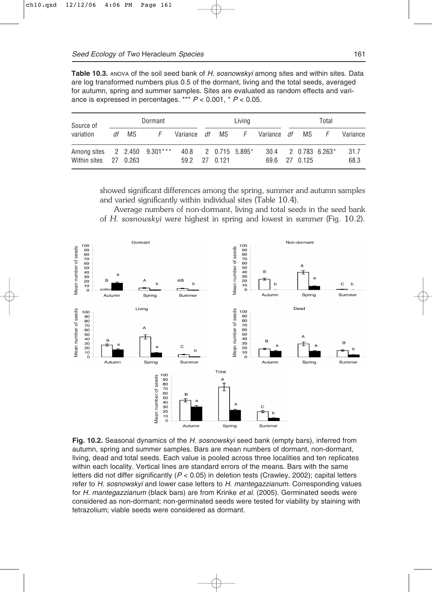**Table 10.3.** ANOVA of the soil seed bank of *H. sosnowskyi* among sites and within sites. Data are log transformed numbers plus 0.5 of the dormant, living and the total seeds, averaged for autumn, spring and summer samples. Sites are evaluated as random effects and variance is expressed in percentages. \*\*\* *P* < 0.001, \* *P* < 0.05.

| Source of                                             |       | Dormant |               |  | Living                |                                               |               | Total                 |              |
|-------------------------------------------------------|-------|---------|---------------|--|-----------------------|-----------------------------------------------|---------------|-----------------------|--------------|
| variation                                             | df MS | F       |               |  |                       | Variance <i>df</i> MS F Variance <i>df</i> MS |               | F –                   | Variance     |
| Among sites 2 2.450 9.301***<br>Within sites 27 0.263 |       |         | 59.2 27 0.121 |  | $40.8$ 2 0.715 5.895* |                                               | 69.6 27 0.125 | $30.4$ 2 0.783 6.263* | 31.7<br>68.3 |

showed significant differences among the spring, summer and autumn samples and varied significantly within individual sites (Table 10.4).

Average numbers of non-dormant, living and total seeds in the seed bank of *H. sosnowskyi* were highest in spring and lowest in summer (Fig. 10.2).



**Fig. 10.2.** Seasonal dynamics of the *H. sosnowskyi* seed bank (empty bars), inferred from autumn, spring and summer samples. Bars are mean numbers of dormant, non-dormant, living, dead and total seeds. Each value is pooled across three localities and ten replicates within each locality. Vertical lines are standard errors of the means. Bars with the same letters did not differ significantly (*P* < 0.05) in deletion tests (Crawley, 2002); capital letters refer to *H. sosnowskyi* and lower case letters to *H. mantegazzianum*. Corresponding values for *H. mantegazzianum* (black bars) are from Krinke *et al*. (2005). Germinated seeds were considered as non-dormant; non-germinated seeds were tested for viability by staining with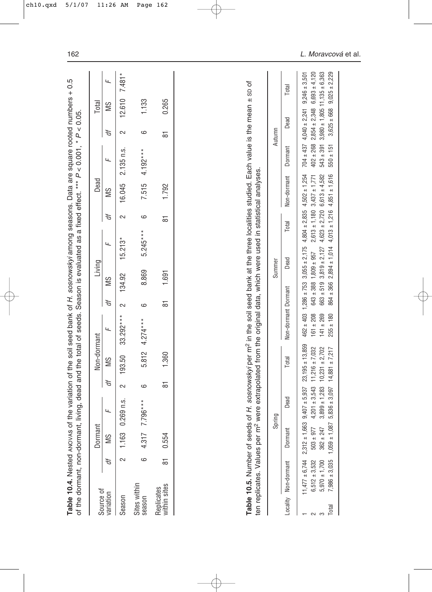|                            | Table 10.4. Nested ANOVAS of<br>of the dormant, non-dormant,                                                                                                                                       |                                                                          |                                                                                  |                |                                                                                       | the variation of the soil seed bank of H. sosnowskyi among seasons. Data are square rooted numbers + 0.5<br>living, dead and the total of seeds. Season is evaluated as a fixed effect. *** P < 0.001, * P < 0.05 |                 |                                                               |                                                             |                                                                                  |                                                                                  |                                                                  |                                                           |                                      |                                                             |
|----------------------------|----------------------------------------------------------------------------------------------------------------------------------------------------------------------------------------------------|--------------------------------------------------------------------------|----------------------------------------------------------------------------------|----------------|---------------------------------------------------------------------------------------|-------------------------------------------------------------------------------------------------------------------------------------------------------------------------------------------------------------------|-----------------|---------------------------------------------------------------|-------------------------------------------------------------|----------------------------------------------------------------------------------|----------------------------------------------------------------------------------|------------------------------------------------------------------|-----------------------------------------------------------|--------------------------------------|-------------------------------------------------------------|
| Source of                  |                                                                                                                                                                                                    | Dormant                                                                  |                                                                                  |                | Non-dormant                                                                           |                                                                                                                                                                                                                   |                 | Living                                                        |                                                             |                                                                                  | Dead                                                                             |                                                                  |                                                           | Total                                |                                                             |
| variation                  | ď                                                                                                                                                                                                  | SM                                                                       | щ                                                                                | ď              | SM                                                                                    | щ                                                                                                                                                                                                                 | ď               | SM                                                            | щ                                                           | đ                                                                                | SM                                                                               | щ                                                                | ď                                                         | SM                                   | щ                                                           |
| Season                     | 2                                                                                                                                                                                                  | 1.163                                                                    | 269 n.s.<br>$\circ$                                                              | $\sim$         | 193.50                                                                                | $33.292***$                                                                                                                                                                                                       | 2               | 134.92                                                        | $15.213*$                                                   | 2                                                                                | 16.045                                                                           | 2.135 n.s.                                                       | 2                                                         | 12.610                               | $7.481*$                                                    |
| Sites within<br>season     | ဖ                                                                                                                                                                                                  | 4.317                                                                    | $.796***$<br>L.                                                                  | 9              | 5.812                                                                                 | $4.274***$                                                                                                                                                                                                        | ဖ               | 8.869                                                         | $5.245***$                                                  | ဖ                                                                                | 7.515                                                                            | $4.192***$                                                       | ဖ                                                         | 1.133                                |                                                             |
| within sites<br>Replicates | 50                                                                                                                                                                                                 | 0.554                                                                    |                                                                                  | $\overline{5}$ | 1.360                                                                                 |                                                                                                                                                                                                                   | $\overline{8}$  | 1.691                                                         |                                                             | $\overline{8}$                                                                   | 1.792                                                                            |                                                                  | $\overline{8}$                                            | 0.265                                |                                                             |
|                            | Table 10.5. Number of seeds of H. sosnowskyi per m <sup>2</sup> in the soil seed bank at the three localities studied. Each value is the mean ± sp of<br>ten replicates. Values per m <sup>2</sup> |                                                                          |                                                                                  |                |                                                                                       | were extrapolated from the original data, which were used in statistical analyses.                                                                                                                                |                 |                                                               |                                                             |                                                                                  |                                                                                  |                                                                  |                                                           |                                      |                                                             |
|                            |                                                                                                                                                                                                    |                                                                          | Spring                                                                           |                |                                                                                       |                                                                                                                                                                                                                   |                 | Summer                                                        |                                                             |                                                                                  |                                                                                  |                                                                  | Autumn                                                    |                                      |                                                             |
|                            | Locality Non-dormant                                                                                                                                                                               | Dormant                                                                  | Dead                                                                             |                | Total                                                                                 | Non-dormant Dormant                                                                                                                                                                                               |                 |                                                               | Dead                                                        | Total                                                                            | Non-dormant                                                                      | Dormant                                                          | Dead                                                      |                                      | Total                                                       |
| Total                      | $6,512 \pm 3,532$<br>$5,970 \pm 1,700$<br>$7,986 \pm 3,035$<br>$11,477 \pm 6,744$                                                                                                                  | $2,312 \pm 1,663$<br>$1,059 \pm 1,087$<br>$362 \pm 247$<br>$503 \pm 977$ | $4.201 \pm 3.543$<br>$3,899 \pm 1,283$<br>$9,407 \pm 5,937$<br>$5,836 \pm 3,097$ |                | $23,195 \pm 13,859$<br>$10,231 \pm 2,702$<br>$11.216 \pm 7.032$<br>$14,881 \pm 7,217$ | $462 \pm 403$<br>$161 \pm 208$<br>$141 \pm 269$<br>$255 \pm 180$                                                                                                                                                  | $1,286 \pm 753$ | $643 \pm 388$ 1,809 $\pm$ 957<br>$663 + 519$<br>$864 \pm 366$ | $3,055 \pm 2,175$<br>$3,819 \pm 2,127$<br>$2,894 \pm 1,014$ | $4,804 \pm 2,835$<br>$2,613 \pm 1,180$<br>$4,623 \pm 2,720$<br>$4,013 \pm 1,216$ | $6,613 \pm 4,582$<br>$4,851 \pm 1,616$<br>$4,502 \pm 1,254$<br>$3.437 \pm 1.771$ | $704 \pm 437$<br>$402 \pm 268$<br>$543 \pm 391$<br>$550 \pm 151$ | $2.854 \pm 2.348$<br>$3,625 \pm 668$<br>$4,040 \pm 2,241$ | $3,980 \pm 1,805$ 11,135 $\pm 6,363$ | $9,025 \pm 2,229$<br>$6,693 \pm 4,120$<br>$9,246 \pm 3,501$ |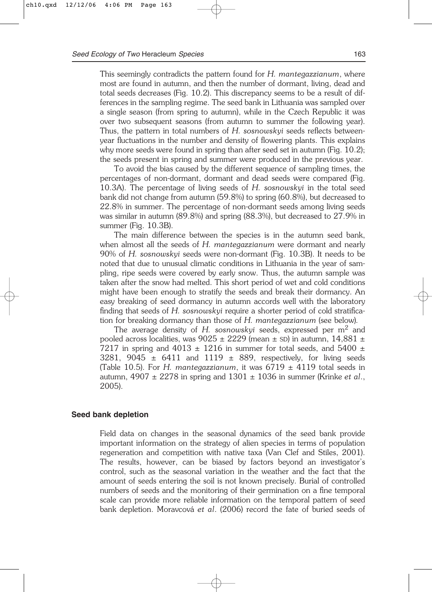This seemingly contradicts the pattern found for *H. mantegazzianum*, where most are found in autumn, and then the number of dormant, living, dead and total seeds decreases (Fig. 10.2). This discrepancy seems to be a result of differences in the sampling regime. The seed bank in Lithuania was sampled over a single season (from spring to autumn), while in the Czech Republic it was over two subsequent seasons (from autumn to summer the following year). Thus, the pattern in total numbers of *H. sosnowskyi* seeds reflects betweenyear fluctuations in the number and density of flowering plants. This explains why more seeds were found in spring than after seed set in autumn (Fig. 10.2); the seeds present in spring and summer were produced in the previous year.

To avoid the bias caused by the different sequence of sampling times, the percentages of non-dormant, dormant and dead seeds were compared (Fig. 10.3A). The percentage of living seeds of *H. sosnowskyi* in the total seed bank did not change from autumn (59.8%) to spring (60.8%), but decreased to 22.8% in summer. The percentage of non-dormant seeds among living seeds was similar in autumn (89.8%) and spring (88.3%), but decreased to 27.9% in summer (Fig. 10.3B).

The main difference between the species is in the autumn seed bank, when almost all the seeds of *H. mantegazzianum* were dormant and nearly 90% of *H. sosnowskyi* seeds were non-dormant (Fig. 10.3B). It needs to be noted that due to unusual climatic conditions in Lithuania in the year of sampling, ripe seeds were covered by early snow. Thus, the autumn sample was taken after the snow had melted. This short period of wet and cold conditions might have been enough to stratify the seeds and break their dormancy. An easy breaking of seed dormancy in autumn accords well with the laboratory finding that seeds of *H. sosnowskyi* require a shorter period of cold stratification for breaking dormancy than those of *H. mantegazzianum* (see below)*.*

The average density of *H. sosnowskyi* seeds, expressed per m2 and pooled across localities, was  $9025 \pm 2229$  (mean  $\pm$  SD) in autumn, 14,881  $\pm$ 7217 in spring and 4013  $\pm$  1216 in summer for total seeds, and 5400  $\pm$ 3281, 9045  $\pm$  6411 and 1119  $\pm$  889, respectively, for living seeds (Table 10.5). For *H. mantegazzianum*, it was  $6719 \pm 4119$  total seeds in autumn, 4907 ± 2278 in spring and 1301 ± 1036 in summer (Krinke *et al*., 2005).

#### **Seed bank depletion**

Field data on changes in the seasonal dynamics of the seed bank provide important information on the strategy of alien species in terms of population regeneration and competition with native taxa (Van Clef and Stiles, 2001). The results, however, can be biased by factors beyond an investigator's control, such as the seasonal variation in the weather and the fact that the amount of seeds entering the soil is not known precisely. Burial of controlled numbers of seeds and the monitoring of their germination on a fine temporal scale can provide more reliable information on the temporal pattern of seed bank depletion. Moravcová *et al*. (2006) record the fate of buried seeds of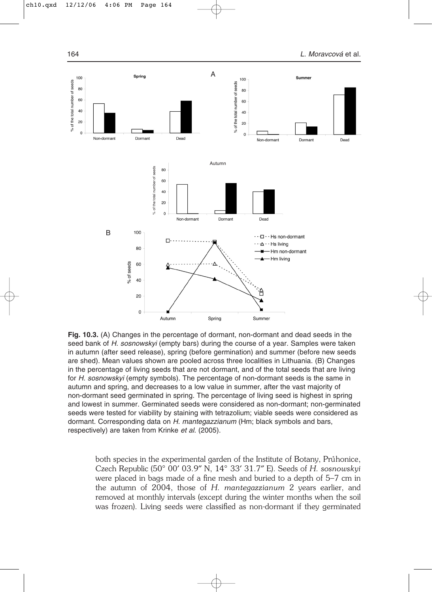

**Fig. 10.3.** (A) Changes in the percentage of dormant, non-dormant and dead seeds in the seed bank of *H. sosnowskyi* (empty bars) during the course of a year. Samples were taken in autumn (after seed release), spring (before germination) and summer (before new seeds are shed). Mean values shown are pooled across three localities in Lithuania. (B) Changes in the percentage of living seeds that are not dormant, and of the total seeds that are living for *H. sosnowskyi* (empty symbols). The percentage of non-dormant seeds is the same in autumn and spring, and decreases to a low value in summer, after the vast majority of non-dormant seed germinated in spring. The percentage of living seed is highest in spring and lowest in summer. Germinated seeds were considered as non-dormant; non-germinated seeds were tested for viability by staining with tetrazolium; viable seeds were considered as dormant. Corresponding data on *H. mantegazzianum* (Hm; black symbols and bars, respectively) are taken from Krinke *et al*. (2005).

both species in the experimental garden of the Institute of Botany, Prunonice, Czech Republic (50° 00′ 03.9″ N, 14° 33′ 31.7″ E). Seeds of *H. sosnowskyi* were placed in bags made of a fine mesh and buried to a depth of 5–7 cm in the autumn of 2004, those of *H. mantegazzianum* 2 years earlier, and removed at monthly intervals (except during the winter months when the soil was frozen). Living seeds were classified as non-dormant if they germinated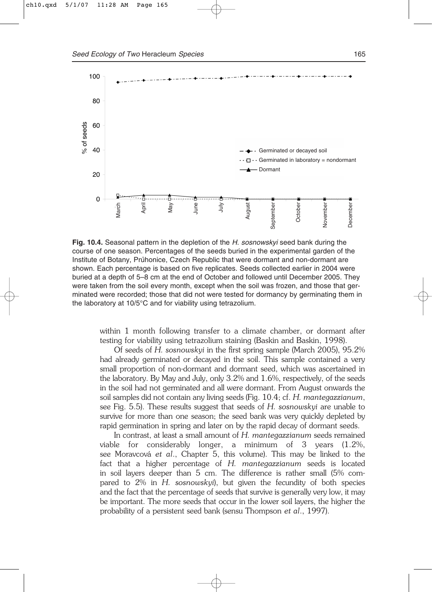

**Fig. 10.4.** Seasonal pattern in the depletion of the *H. sosnowskyi* seed bank during the course of one season. Percentages of the seeds buried in the experimental garden of the Institute of Botany, Průhonice, Czech Republic that were dormant and non-dormant are shown. Each percentage is based on five replicates. Seeds collected earlier in 2004 were buried at a depth of 5–8 cm at the end of October and followed until December 2005. They were taken from the soil every month, except when the soil was frozen, and those that germinated were recorded; those that did not were tested for dormancy by germinating them in the laboratory at 10/5°C and for viability using tetrazolium.

within 1 month following transfer to a climate chamber, or dormant after testing for viability using tetrazolium staining (Baskin and Baskin, 1998).

Of seeds of *H. sosnowskyi* in the first spring sample (March 2005), 95.2% had already germinated or decayed in the soil. This sample contained a very small proportion of non-dormant and dormant seed, which was ascertained in the laboratory. By May and July, only 3.2% and 1.6%, respectively, of the seeds in the soil had not germinated and all were dormant. From August onwards the soil samples did not contain any living seeds (Fig. 10.4; cf. *H. mantegazzianum*, see Fig. 5.5). These results suggest that seeds of *H. sosnowskyi* are unable to survive for more than one season; the seed bank was very quickly depleted by rapid germination in spring and later on by the rapid decay of dormant seeds.

In contrast, at least a small amount of *H. mantegazzianum* seeds remained viable for considerably longer, a minimum of 3 years (1.2%, see Moravcová *et al*., Chapter 5, this volume). This may be linked to the fact that a higher percentage of *H. mantegazzianum* seeds is located in soil layers deeper than 5 cm. The difference is rather small (5% compared to 2% in *H. sosnowskyi*), but given the fecundity of both species and the fact that the percentage of seeds that survive is generally very low, it may be important. The more seeds that occur in the lower soil layers, the higher the probability of a persistent seed bank (sensu Thompson *et al*., 1997).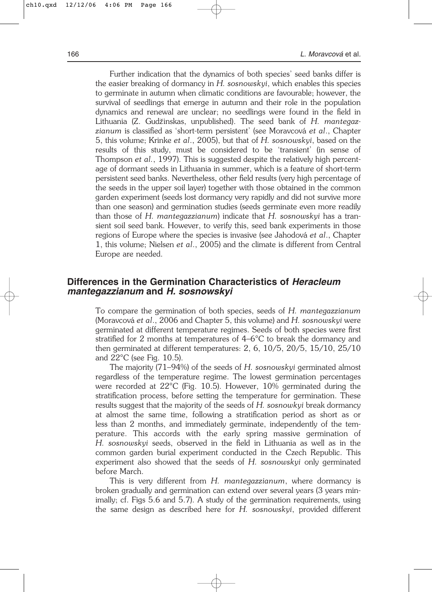Further indication that the dynamics of both species' seed banks differ is the easier breaking of dormancy in *H. sosnowskyi*, which enables this species to germinate in autumn when climatic conditions are favourable; however, the survival of seedlings that emerge in autumn and their role in the population dynamics and renewal are unclear; no seedlings were found in the field in Lithuania (Z. Gudžinskas, unpublished). The seed bank of *H. mantegazzianum* is classified as 'short-term persistent' (see Moravcová *et al*., Chapter 5, this volume; Krinke *et al*., 2005), but that of *H. sosnowskyi*, based on the results of this study, must be considered to be 'transient' (in sense of Thompson *et al.*, 1997). This is suggested despite the relatively high percentage of dormant seeds in Lithuania in summer, which is a feature of short-term persistent seed banks. Nevertheless, other field results (very high percentage of the seeds in the upper soil layer) together with those obtained in the common garden experiment (seeds lost dormancy very rapidly and did not survive more than one season) and germination studies (seeds germinate even more readily than those of *H. mantegazzianum*) indicate that *H. sosnowskyi* has a transient soil seed bank. However, to verify this, seed bank experiments in those regions of Europe where the species is invasive (see Jahodová *et al*., Chapter 1, this volume; Nielsen *et al*., 2005) and the climate is different from Central Europe are needed.

# **Differences in the Germination Characteristics of** *Heracleum mantegazzianum* **and** *H. sosnowskyi*

To compare the germination of both species, seeds of *H. mantegazzianum* (Moravcová *et al*., 2006 and Chapter 5, this volume) and *H. sosnowskyi* were germinated at different temperature regimes. Seeds of both species were first stratified for 2 months at temperatures of 4–6°C to break the dormancy and then germinated at different temperatures: 2, 6, 10/5, 20/5, 15/10, 25/10 and 22°C (see Fig. 10.5).

The majority (71–94%) of the seeds of *H. sosnowskyi* germinated almost regardless of the temperature regime. The lowest germination percentages were recorded at 22°C (Fig. 10.5). However, 10% germinated during the stratification process, before setting the temperature for germination. These results suggest that the majority of the seeds of *H. sosnowkyi* break dormancy at almost the same time, following a stratification period as short as or less than 2 months, and immediately germinate, independently of the temperature. This accords with the early spring massive germination of *H. sosnowskyi* seeds, observed in the field in Lithuania as well as in the common garden burial experiment conducted in the Czech Republic. This experiment also showed that the seeds of *H. sosnowskyi* only germinated before March.

This is very different from *H. mantegazzianum*, where dormancy is broken gradually and germination can extend over several years (3 years minimally; cf. Figs 5.6 and 5.7). A study of the germination requirements, using the same design as described here for *H. sosnowskyi*, provided different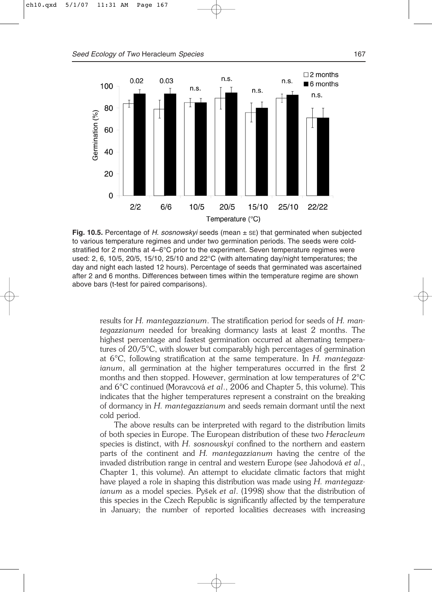

**Fig. 10.5.** Percentage of *H. sosnowskyi* seeds (mean ± SE) that germinated when subjected to various temperature regimes and under two germination periods. The seeds were coldstratified for 2 months at  $4-6^{\circ}$ C prior to the experiment. Seven temperature regimes were used: 2, 6, 10/5, 20/5, 15/10, 25/10 and 22°C (with alternating day/night temperatures; the day and night each lasted 12 hours). Percentage of seeds that germinated was ascertained after 2 and 6 months. Differences between times within the temperature regime are shown above bars (t-test for paired comparisons).

results for *H. mantegazzianum*. The stratification period for seeds of *H. mantegazzianum* needed for breaking dormancy lasts at least 2 months. The highest percentage and fastest germination occurred at alternating temperatures of 20/5°C, with slower but comparably high percentages of germination at 6°C, following stratification at the same temperature. In *H. mantegazzianum*, all germination at the higher temperatures occurred in the first 2 months and then stopped. However, germination at low temperatures of 2°C and 6°C continued (Moravcová *et al*., 2006 and Chapter 5, this volume). This indicates that the higher temperatures represent a constraint on the breaking of dormancy in *H. mantegazzianum* and seeds remain dormant until the next cold period.

The above results can be interpreted with regard to the distribution limits of both species in Europe. The European distribution of these two *Heracleum* species is distinct, with *H. sosnowskyi* confined to the northern and eastern parts of the continent and *H. mantegazzianum* having the centre of the invaded distribution range in central and western Europe (see Jahodová *et al*., Chapter 1, this volume). An attempt to elucidate climatic factors that might have played a role in shaping this distribution was made using *H. mantegazzianum* as a model species. Pys<sup>\*</sup>ek *et al.* (1998) show that the distribution of this species in the Czech Republic is significantly affected by the temperature in January; the number of reported localities decreases with increasing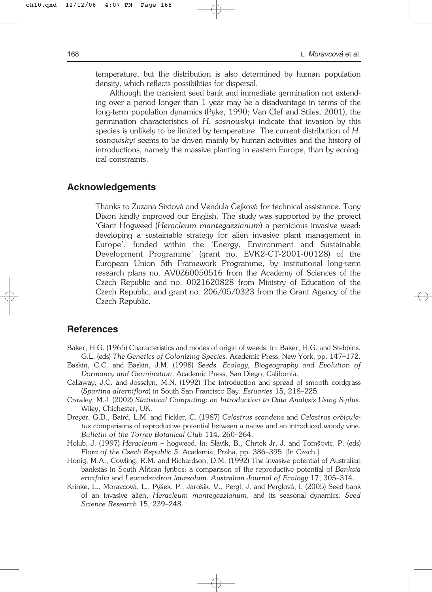temperature, but the distribution is also determined by human population density, which reflects possibilities for dispersal.

Although the transient seed bank and immediate germination not extending over a period longer than 1 year may be a disadvantage in terms of the long-term population dynamics (Pyke, 1990; Van Clef and Stiles, 2001), the germination characteristics of *H. sosnowskyi* indicate that invasion by this species is unlikely to be limited by temperature. The current distribution of *H. sosnowskyi* seems to be driven mainly by human activities and the history of introductions, namely the massive planting in eastern Europe, than by ecological constraints.

### **Acknowledgements**

Thanks to Zuzana Sixtová and Vendula Cejková for technical assistance. Tony Dixon kindly improved our English. The study was supported by the project 'Giant Hogweed (*Heracleum mantegazzianum*) a pernicious invasive weed: developing a sustainable strategy for alien invasive plant management in Europe', funded within the 'Energy, Environment and Sustainable Development Programme' (grant no. EVK2-CT-2001-00128) of the European Union 5th Framework Programme, by institutional long-term research plans no. AV0Z60050516 from the Academy of Sciences of the Czech Republic and no. 0021620828 from Ministry of Education of the Czech Republic, and grant no. 206/05/0323 from the Grant Agency of the Czech Republic.

# **References**

- Baker, H.G. (1965) Characteristics and modes of origin of weeds. In: Baker, H.G. and Stebbins, G.L. (eds) *The Genetics of Colonizing Species.* Academic Press, New York, pp. 147–172.
- Baskin, C.C. and Baskin, J.M. (1998) *Seeds. Ecology, Biogeography and Evolution of Dormancy and Germination*. Academic Press, San Diego, California.
- Callaway, J.C. and Josselyn, M.N. (1992) The introduction and spread of smooth cordgrass (*Spartina alterniflora*) in South San Francisco Bay. *Estuaries* 15, 218–225.
- Crawley, M.J. (2002) *Statistical Computing: an Introduction to Data Analysis Using S-plus*. Wiley, Chichester, UK.
- Dreyer, G.D., Baird, L.M. and Fickler, C. (1987) *Celastrus scandens* and *Celastrus orbiculatus* comparisons of reproductive potential between a native and an introduced woody vine. *Bulletin of the Torrey Botanical Club* 114, 260–264.
- Holub, J. (1997) *Heracleum* hogweed. In: Slavík, B., Chrtek Jr, J. and Toms˘ovic, P. (eds) *Flora of the Czech Republic 5*. Academia, Praha, pp. 386–395. [In Czech.]
- Honig, M.A., Cowling, R.M. and Richardson, D.M. (1992) The invasive potential of Australian banksias in South African fynbos: a comparison of the reproductive potential of *Banksia ericifolia* and *Leucadendron laureolum*. *Australian Journal of Ecology* 17, 305–314.
- Krinke, L., Moravcová, L., Pyšek, P., Jarošík, V., Pergl, J. and Perglová, I. (2005) Seed bank of an invasive alien, *Heracleum mantegazzianum*, and its seasonal dynamics. *Seed Science Research* 15, 239–248.